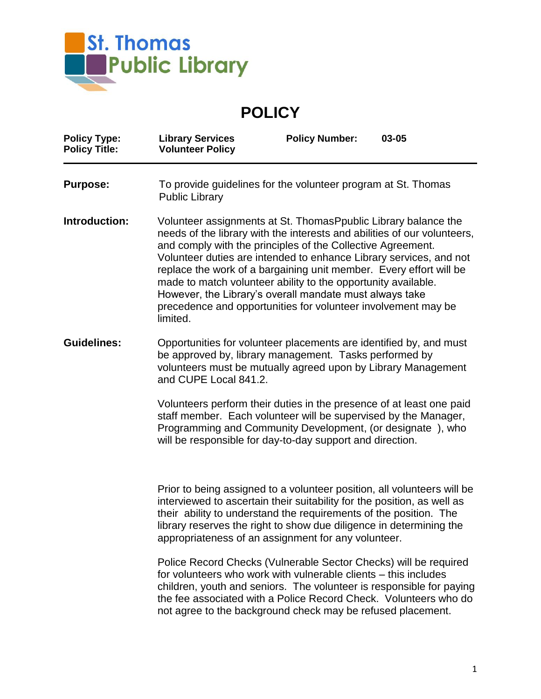

**POLICY**

| <b>Policy Type:</b><br><b>Policy Title:</b> | <b>Library Services</b><br><b>Volunteer Policy</b>                                                                                                                                                                                                                                                                                                                                                                                                                                                                                                              | <b>Policy Number:</b> | 03-05 |
|---------------------------------------------|-----------------------------------------------------------------------------------------------------------------------------------------------------------------------------------------------------------------------------------------------------------------------------------------------------------------------------------------------------------------------------------------------------------------------------------------------------------------------------------------------------------------------------------------------------------------|-----------------------|-------|
| <b>Purpose:</b>                             | To provide guidelines for the volunteer program at St. Thomas<br><b>Public Library</b>                                                                                                                                                                                                                                                                                                                                                                                                                                                                          |                       |       |
| Introduction:                               | Volunteer assignments at St. Thomas Ppublic Library balance the<br>needs of the library with the interests and abilities of our volunteers,<br>and comply with the principles of the Collective Agreement.<br>Volunteer duties are intended to enhance Library services, and not<br>replace the work of a bargaining unit member. Every effort will be<br>made to match volunteer ability to the opportunity available.<br>However, the Library's overall mandate must always take<br>precedence and opportunities for volunteer involvement may be<br>limited. |                       |       |
| <b>Guidelines:</b>                          | Opportunities for volunteer placements are identified by, and must<br>be approved by, library management. Tasks performed by<br>volunteers must be mutually agreed upon by Library Management<br>and CUPE Local 841.2.                                                                                                                                                                                                                                                                                                                                          |                       |       |
|                                             | Volunteers perform their duties in the presence of at least one paid<br>staff member. Each volunteer will be supervised by the Manager,<br>Programming and Community Development, (or designate), who<br>will be responsible for day-to-day support and direction.                                                                                                                                                                                                                                                                                              |                       |       |
|                                             | Prior to being assigned to a volunteer position, all volunteers will be<br>interviewed to ascertain their suitability for the position, as well as<br>their ability to understand the requirements of the position. The<br>library reserves the right to show due diligence in determining the<br>appropriateness of an assignment for any volunteer.                                                                                                                                                                                                           |                       |       |
|                                             | Police Record Checks (Vulnerable Sector Checks) will be required<br>for volunteers who work with vulnerable clients – this includes<br>children, youth and seniors. The volunteer is responsible for paying<br>the fee associated with a Police Record Check. Volunteers who do<br>not agree to the background check may be refused placement.                                                                                                                                                                                                                  |                       |       |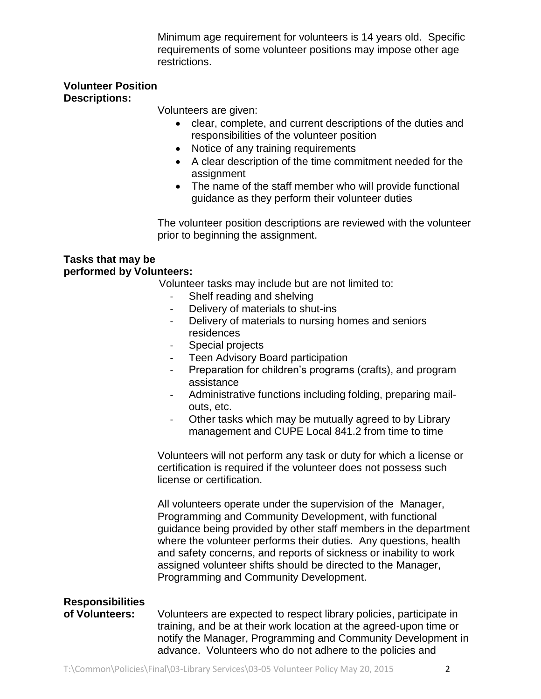Minimum age requirement for volunteers is 14 years old. Specific requirements of some volunteer positions may impose other age restrictions.

## **Volunteer Position Descriptions:**

Volunteers are given:

- clear, complete, and current descriptions of the duties and responsibilities of the volunteer position
- Notice of any training requirements
- A clear description of the time commitment needed for the assignment
- The name of the staff member who will provide functional guidance as they perform their volunteer duties

The volunteer position descriptions are reviewed with the volunteer prior to beginning the assignment.

## **Tasks that may be performed by Volunteers:**

Volunteer tasks may include but are not limited to:

- Shelf reading and shelving
- Delivery of materials to shut-ins
- Delivery of materials to nursing homes and seniors residences
- Special projects
- Teen Advisory Board participation
- Preparation for children's programs (crafts), and program assistance
- Administrative functions including folding, preparing mailouts, etc.
- Other tasks which may be mutually agreed to by Library management and CUPE Local 841.2 from time to time

Volunteers will not perform any task or duty for which a license or certification is required if the volunteer does not possess such license or certification.

All volunteers operate under the supervision of the Manager, Programming and Community Development, with functional guidance being provided by other staff members in the department where the volunteer performs their duties. Any questions, health and safety concerns, and reports of sickness or inability to work assigned volunteer shifts should be directed to the Manager, Programming and Community Development.

## **Responsibilities**

**of Volunteers:** Volunteers are expected to respect library policies, participate in training, and be at their work location at the agreed-upon time or notify the Manager, Programming and Community Development in advance. Volunteers who do not adhere to the policies and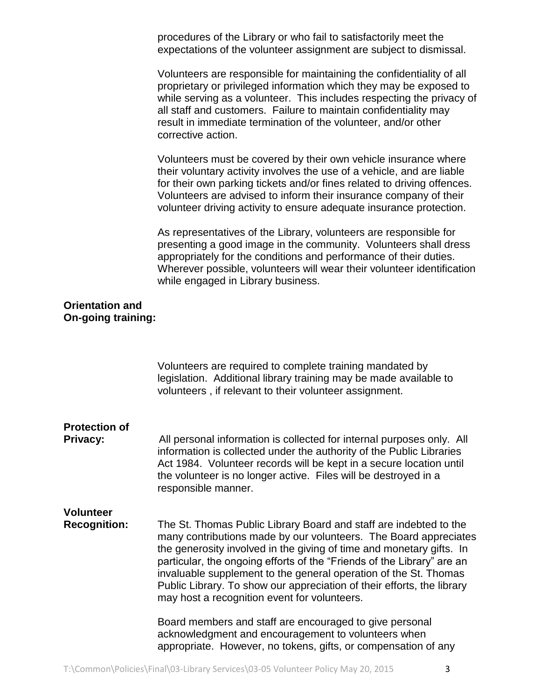procedures of the Library or who fail to satisfactorily meet the expectations of the volunteer assignment are subject to dismissal.

Volunteers are responsible for maintaining the confidentiality of all proprietary or privileged information which they may be exposed to while serving as a volunteer. This includes respecting the privacy of all staff and customers. Failure to maintain confidentiality may result in immediate termination of the volunteer, and/or other corrective action.

Volunteers must be covered by their own vehicle insurance where their voluntary activity involves the use of a vehicle, and are liable for their own parking tickets and/or fines related to driving offences. Volunteers are advised to inform their insurance company of their volunteer driving activity to ensure adequate insurance protection.

As representatives of the Library, volunteers are responsible for presenting a good image in the community. Volunteers shall dress appropriately for the conditions and performance of their duties. Wherever possible, volunteers will wear their volunteer identification while engaged in Library business.

## **Orientation and On-going training:**

|                                         | Volunteers are required to complete training mandated by<br>legislation. Additional library training may be made available to<br>volunteers, if relevant to their volunteer assignment.                                                                                                                                                                                                                                                                                               |  |
|-----------------------------------------|---------------------------------------------------------------------------------------------------------------------------------------------------------------------------------------------------------------------------------------------------------------------------------------------------------------------------------------------------------------------------------------------------------------------------------------------------------------------------------------|--|
| <b>Protection of</b><br>Privacy:        | All personal information is collected for internal purposes only. All<br>information is collected under the authority of the Public Libraries<br>Act 1984. Volunteer records will be kept in a secure location until<br>the volunteer is no longer active. Files will be destroyed in a<br>responsible manner.                                                                                                                                                                        |  |
| <b>Volunteer</b><br><b>Recognition:</b> | The St. Thomas Public Library Board and staff are indebted to the<br>many contributions made by our volunteers. The Board appreciates<br>the generosity involved in the giving of time and monetary gifts. In<br>particular, the ongoing efforts of the "Friends of the Library" are an<br>invaluable supplement to the general operation of the St. Thomas<br>Public Library. To show our appreciation of their efforts, the library<br>may host a recognition event for volunteers. |  |
|                                         | Board members and staff are encouraged to give personal<br>acknowledgment and encouragement to volunteers when<br>appropriate. However, no tokens, gifts, or compensation of any                                                                                                                                                                                                                                                                                                      |  |